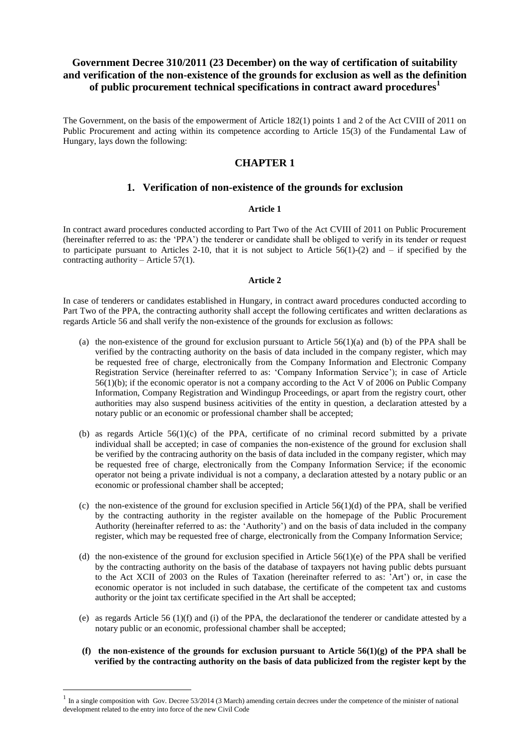# **Government Decree 310/2011 (23 December) on the way of certification of suitability and verification of the non-existence of the grounds for exclusion as well as the definition of public procurement technical specifications in contract award procedures<sup>1</sup>**

The Government, on the basis of the empowerment of Article 182(1) points 1 and 2 of the Act CVIII of 2011 on Public Procurement and acting within its competence according to Article 15(3) of the Fundamental Law of Hungary, lays down the following:

# **CHAPTER 1**

## **1. Verification of non-existence of the grounds for exclusion**

### **Article 1**

In contract award procedures conducted according to Part Two of the Act CVIII of 2011 on Public Procurement (hereinafter referred to as: the 'PPA') the tenderer or candidate shall be obliged to verify in its tender or request to participate pursuant to Articles 2-10, that it is not subject to Article  $56(1)-(2)$  and  $-$  if specified by the contracting authority – Article  $57(1)$ .

## **Article 2**

In case of tenderers or candidates established in Hungary, in contract award procedures conducted according to Part Two of the PPA, the contracting authority shall accept the following certificates and written declarations as regards Article 56 and shall verify the non-existence of the grounds for exclusion as follows:

- (a) the non-existence of the ground for exclusion pursuant to Article  $56(1)(a)$  and (b) of the PPA shall be verified by the contracting authority on the basis of data included in the company register, which may be requested free of charge, electronically from the Company Information and Electronic Company Registration Service (hereinafter referred to as: 'Company Information Service'); in case of Article 56(1)(b); if the economic operator is not a company according to the Act V of 2006 on Public Company Information, Company Registration and Windingup Proceedings, or apart from the registry court, other authorities may also suspend business acitivities of the entity in question, a declaration attested by a notary public or an economic or professional chamber shall be accepted;
- (b) as regards Article  $56(1)(c)$  of the PPA, certificate of no criminal record submitted by a private individual shall be accepted; in case of companies the non-existence of the ground for exclusion shall be verified by the contracing authority on the basis of data included in the company register, which may be requested free of charge, electronically from the Company Information Service; if the economic operator not being a private individual is not a company, a declaration attested by a notary public or an economic or professional chamber shall be accepted;
- (c) the non-existence of the ground for exclusion specified in Article  $56(1)(d)$  of the PPA, shall be verified by the contracting authority in the register available on the homepage of the Public Procurement Authority (hereinafter referred to as: the 'Authority') and on the basis of data included in the company register, which may be requested free of charge, electronically from the Company Information Service;
- (d) the non-existence of the ground for exclusion specified in Article  $56(1)(e)$  of the PPA shall be verified by the contracting authority on the basis of the database of taxpayers not having public debts pursuant to the Act XCII of 2003 on the Rules of Taxation (hereinafter referred to as: 'Art') or, in case the economic operator is not included in such database, the certificate of the competent tax and customs authority or the joint tax certificate specified in the Art shall be accepted;
- (e) as regards Article 56 (1)(f) and (i) of the PPA, the declarationof the tenderer or candidate attested by a notary public or an economic, professional chamber shall be accepted;
- **(f) the non-existence of the grounds for exclusion pursuant to Article 56(1)(g) of the PPA shall be verified by the contracting authority on the basis of data publicized from the register kept by the**

 $\overline{a}$ 

 $<sup>1</sup>$  In a single composition with Gov. Decree 53/2014 (3 March) amending certain decrees under the competence of the minister of national</sup> development related to the entry into force of the new Civil Code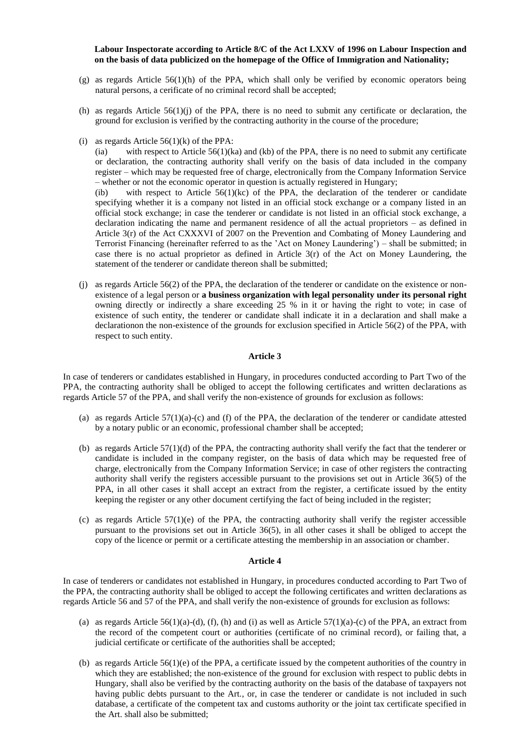### **Labour Inspectorate according to Article 8/C of the Act LXXV of 1996 on Labour Inspection and on the basis of data publicized on the homepage of the Office of Immigration and Nationality;**

- (g) as regards Article 56(1)(h) of the PPA, which shall only be verified by economic operators being natural persons, a cerificate of no criminal record shall be accepted;
- (h) as regards Article  $56(1)(j)$  of the PPA, there is no need to submit any certificate or declaration, the ground for exclusion is verified by the contracting authority in the course of the procedure;
- (i) as regards Article  $56(1)(k)$  of the PPA:

(ia) with respect to Article  $56(1)(ka)$  and (kb) of the PPA, there is no need to submit any certificate or declaration, the contracting authority shall verify on the basis of data included in the company register – which may be requested free of charge, electronically from the Company Information Service – whether or not the economic operator in question is actually registered in Hungary;

(ib) with respect to Article  $56(1)(kc)$  of the PPA, the declaration of the tenderer or candidate specifying whether it is a company not listed in an official stock exchange or a company listed in an official stock exchange; in case the tenderer or candidate is not listed in an official stock exchange, a declaration indicating the name and permanent residence of all the actual proprietors – as defined in Article 3(r) of the Act CXXXVI of 2007 on the Prevention and Combating of Money Laundering and Terrorist Financing (hereinafter referred to as the 'Act on Money Laundering') – shall be submitted; in case there is no actual proprietor as defined in Article  $3(r)$  of the Act on Money Laundering, the statement of the tenderer or candidate thereon shall be submitted;

(j) as regards Article 56(2) of the PPA, the declaration of the tenderer or candidate on the existence or nonexistence of a legal person or **a business organization with legal personality under its personal right** owning directly or indirectly a share exceeding 25 % in it or having the right to vote; in case of existence of such entity, the tenderer or candidate shall indicate it in a declaration and shall make a declarationon the non-existence of the grounds for exclusion specified in Article 56(2) of the PPA, with respect to such entity.

### **Article 3**

In case of tenderers or candidates established in Hungary, in procedures conducted according to Part Two of the PPA, the contracting authority shall be obliged to accept the following certificates and written declarations as regards Article 57 of the PPA, and shall verify the non-existence of grounds for exclusion as follows:

- (a) as regards Article  $57(1)(a)-(c)$  and (f) of the PPA, the declaration of the tenderer or candidate attested by a notary public or an economic, professional chamber shall be accepted;
- (b) as regards Article 57(1)(d) of the PPA, the contracting authority shall verify the fact that the tenderer or candidate is included in the company register, on the basis of data which may be requested free of charge, electronically from the Company Information Service; in case of other registers the contracting authority shall verify the registers accessible pursuant to the provisions set out in Article 36(5) of the PPA, in all other cases it shall accept an extract from the register, a certificate issued by the entity keeping the register or any other document certifying the fact of being included in the register;
- (c) as regards Article  $57(1)(e)$  of the PPA, the contracting authority shall verify the register accessible pursuant to the provisions set out in Article 36(5), in all other cases it shall be obliged to accept the copy of the licence or permit or a certificate attesting the membership in an association or chamber.

#### **Article 4**

In case of tenderers or candidates not established in Hungary, in procedures conducted according to Part Two of the PPA, the contracting authority shall be obliged to accept the following certificates and written declarations as regards Article 56 and 57 of the PPA, and shall verify the non-existence of grounds for exclusion as follows:

- (a) as regards Article  $56(1)(a)$ -(d), (f), (h) and (i) as well as Article  $57(1)(a)$ -(c) of the PPA, an extract from the record of the competent court or authorities (certificate of no criminal record), or failing that, a judicial certificate or certificate of the authorities shall be accepted;
- (b) as regards Article 56(1)(e) of the PPA, a certificate issued by the competent authorities of the country in which they are established; the non-existence of the ground for exclusion with respect to public debts in Hungary, shall also be verified by the contracting authority on the basis of the database of taxpayers not having public debts pursuant to the Art., or, in case the tenderer or candidate is not included in such database, a certificate of the competent tax and customs authority or the joint tax certificate specified in the Art. shall also be submitted;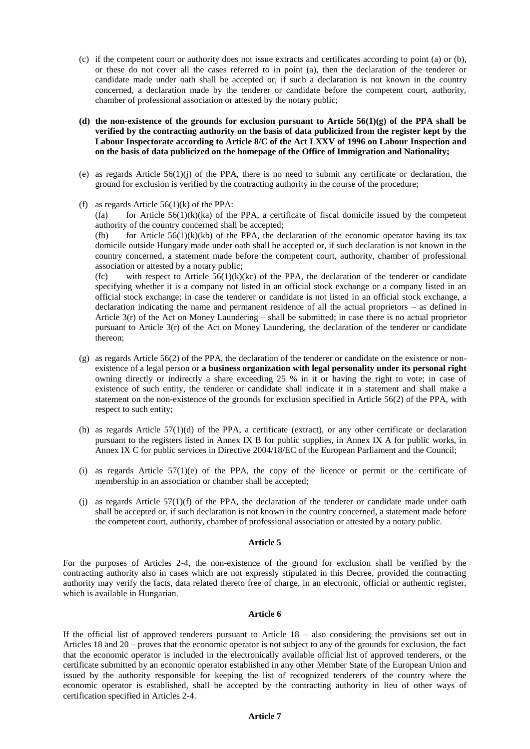- (c) if the competent court or authority does not issue extracts and certificates according to point (a) or (b), or these do not cover all the cases referred to in point (a), then the declaration of the tenderer or candidate made under oath shall be accepted or, if such a declaration is not known in the country concerned, a declaration made by the tenderer or candidate before the competent court, authority, chamber of professional association or attested by the notary public;
- **(d) the non-existence of the grounds for exclusion pursuant to Article 56(1)(g) of the PPA shall be verified by the contracting authority on the basis of data publicized from the register kept by the Labour Inspectorate according to Article 8/C of the Act LXXV of 1996 on Labour Inspection and on the basis of data publicized on the homepage of the Office of Immigration and Nationality;**
- (e) as regards Article 56(1)(j) of the PPA, there is no need to submit any certificate or declaration, the ground for exclusion is verified by the contracting authority in the course of the procedure;
- (f) as regards Article  $56(1)(k)$  of the PPA:

(fa) for Article  $56(1)(k)(ka)$  of the PPA, a certificate of fiscal domicile issued by the competent authority of the country concerned shall be accepted;

(fb) for Article  $56(1)(k)(kb)$  of the PPA, the declaration of the economic operator having its tax domicile outside Hungary made under oath shall be accepted or, if such declaration is not known in the country concerned, a statement made before the competent court, authority, chamber of professional association or attested by a notary public;

(fc) with respect to Article  $56(1)(k)(kc)$  of the PPA, the declaration of the tenderer or candidate specifying whether it is a company not listed in an official stock exchange or a company listed in an official stock exchange; in case the tenderer or candidate is not listed in an official stock exchange, a declaration indicating the name and permanent residence of all the actual proprietors – as defined in Article  $3(r)$  of the Act on Money Laundering – shall be submitted; in case there is no actual proprietor pursuant to Article 3(r) of the Act on Money Laundering, the declaration of the tenderer or candidate thereon;

- (g) as regards Article 56(2) of the PPA, the declaration of the tenderer or candidate on the existence or nonexistence of a legal person or **a business organization with legal personality under its personal right** owning directly or indirectly a share exceeding 25 % in it or having the right to vote; in case of existence of such entity, the tenderer or candidate shall indicate it in a statement and shall make a statement on the non-existence of the grounds for exclusion specified in Article 56(2) of the PPA, with respect to such entity;
- (h) as regards Article  $57(1)(d)$  of the PPA, a certificate (extract), or any other certificate or declaration pursuant to the registers listed in Annex IX B for public supplies, in Annex IX A for public works, in Annex IX C for public services in Directive 2004/18/EC of the European Parliament and the Council;
- (i) as regards Article 57(1)(e) of the PPA, the copy of the licence or permit or the certificate of membership in an association or chamber shall be accepted;
- (j) as regards Article  $57(1)(f)$  of the PPA, the declaration of the tenderer or candidate made under oath shall be accepted or, if such declaration is not known in the country concerned, a statement made before the competent court, authority, chamber of professional association or attested by a notary public.

### **Article 5**

For the purposes of Articles 2-4, the non-existence of the ground for exclusion shall be verified by the contracting authority also in cases which are not expressly stipulated in this Decree, provided the contracting authority may verify the facts, data related thereto free of charge, in an electronic, official or authentic register, which is available in Hungarian.

### **Article 6**

If the official list of approved tenderers pursuant to Article 18 – also considering the provisions set out in Articles 18 and 20 – proves that the economic operator is not subject to any of the grounds for exclusion, the fact that the economic operator is included in the electronically available official list of approved tenderers, or the certificate submitted by an economic operator established in any other Member State of the European Union and issued by the authority responsible for keeping the list of recognized tenderers of the country where the economic operator is established, shall be accepted by the contracting authority in lieu of other ways of certification specified in Articles 2-4.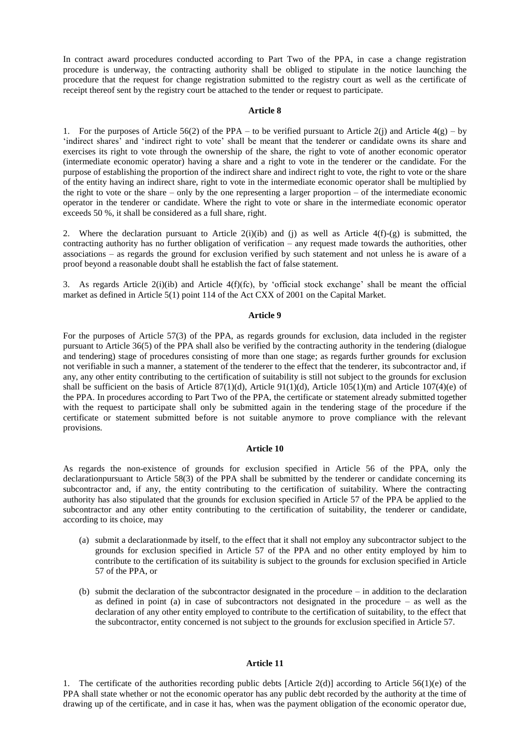In contract award procedures conducted according to Part Two of the PPA, in case a change registration procedure is underway, the contracting authority shall be obliged to stipulate in the notice launching the procedure that the request for change registration submitted to the registry court as well as the certificate of receipt thereof sent by the registry court be attached to the tender or request to participate.

#### **Article 8**

1. For the purposes of Article 56(2) of the PPA – to be verified pursuant to Article 2(j) and Article 4(g) – by 'indirect shares' and 'indirect right to vote' shall be meant that the tenderer or candidate owns its share and exercises its right to vote through the ownership of the share, the right to vote of another economic operator (intermediate economic operator) having a share and a right to vote in the tenderer or the candidate. For the purpose of establishing the proportion of the indirect share and indirect right to vote, the right to vote or the share of the entity having an indirect share, right to vote in the intermediate economic operator shall be multiplied by the right to vote or the share – only by the one representing a larger proportion – of the intermediate economic operator in the tenderer or candidate. Where the right to vote or share in the intermediate economic operator exceeds 50 %, it shall be considered as a full share, right.

2. Where the declaration pursuant to Article 2(i)(ib) and (j) as well as Article 4(f)-(g) is submitted, the contracting authority has no further obligation of verification – any request made towards the authorities, other associations – as regards the ground for exclusion verified by such statement and not unless he is aware of a proof beyond a reasonable doubt shall he establish the fact of false statement.

3. As regards Article 2(i)(ib) and Article 4(f)(fc), by 'official stock exchange' shall be meant the official market as defined in Article 5(1) point 114 of the Act CXX of 2001 on the Capital Market.

### **Article 9**

For the purposes of Article 57(3) of the PPA, as regards grounds for exclusion, data included in the register pursuant to Article 36(5) of the PPA shall also be verified by the contracting authority in the tendering (dialogue and tendering) stage of procedures consisting of more than one stage; as regards further grounds for exclusion not verifiable in such a manner, a statement of the tenderer to the effect that the tenderer, its subcontractor and, if any, any other entity contributing to the certification of suitability is still not subject to the grounds for exclusion shall be sufficient on the basis of Article 87(1)(d), Article 91(1)(d), Article 105(1)(m) and Article 107(4)(e) of the PPA. In procedures according to Part Two of the PPA, the certificate or statement already submitted together with the request to participate shall only be submitted again in the tendering stage of the procedure if the certificate or statement submitted before is not suitable anymore to prove compliance with the relevant provisions.

### **Article 10**

As regards the non-existence of grounds for exclusion specified in Article 56 of the PPA, only the declarationpursuant to Article 58(3) of the PPA shall be submitted by the tenderer or candidate concerning its subcontractor and, if any, the entity contributing to the certification of suitability. Where the contracting authority has also stipulated that the grounds for exclusion specified in Article 57 of the PPA be applied to the subcontractor and any other entity contributing to the certification of suitability, the tenderer or candidate, according to its choice, may

- (a) submit a declarationmade by itself, to the effect that it shall not employ any subcontractor subject to the grounds for exclusion specified in Article 57 of the PPA and no other entity employed by him to contribute to the certification of its suitability is subject to the grounds for exclusion specified in Article 57 of the PPA, or
- (b) submit the declaration of the subcontractor designated in the procedure in addition to the declaration as defined in point (a) in case of subcontractors not designated in the procedure – as well as the declaration of any other entity employed to contribute to the certification of suitability, to the effect that the subcontractor, entity concerned is not subject to the grounds for exclusion specified in Article 57.

#### **Article 11**

1. The certificate of the authorities recording public debts [Article 2(d)] according to Article 56(1)(e) of the PPA shall state whether or not the economic operator has any public debt recorded by the authority at the time of drawing up of the certificate, and in case it has, when was the payment obligation of the economic operator due,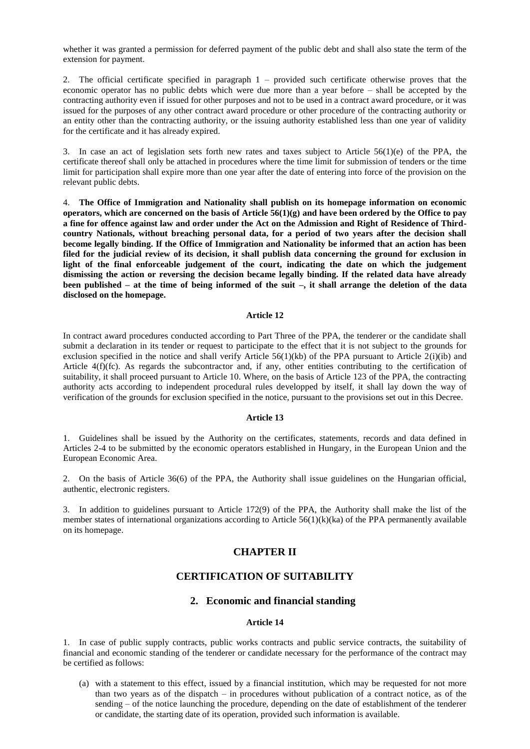whether it was granted a permission for deferred payment of the public debt and shall also state the term of the extension for payment.

2. The official certificate specified in paragraph 1 – provided such certificate otherwise proves that the economic operator has no public debts which were due more than a year before – shall be accepted by the contracting authority even if issued for other purposes and not to be used in a contract award procedure, or it was issued for the purposes of any other contract award procedure or other procedure of the contracting authority or an entity other than the contracting authority, or the issuing authority established less than one year of validity for the certificate and it has already expired.

3. In case an act of legislation sets forth new rates and taxes subject to Article 56(1)(e) of the PPA, the certificate thereof shall only be attached in procedures where the time limit for submission of tenders or the time limit for participation shall expire more than one year after the date of entering into force of the provision on the relevant public debts.

4. **The Office of Immigration and Nationality shall publish on its homepage information on economic operators, which are concerned on the basis of Article 56(1)(g) and have been ordered by the Office to pay a fine for offence against law and order under the Act on the Admission and Right of Residence of Thirdcountry Nationals, without breaching personal data, for a period of two years after the decision shall become legally binding. If the Office of Immigration and Nationality be informed that an action has been filed for the judicial review of its decision, it shall publish data concerning the ground for exclusion in**  light of the final enforceable judgement of the court, indicating the date on which the judgement **dismissing the action or reversing the decision became legally binding. If the related data have already been published – at the time of being informed of the suit –, it shall arrange the deletion of the data disclosed on the homepage.**

### **Article 12**

In contract award procedures conducted according to Part Three of the PPA, the tenderer or the candidate shall submit a declaration in its tender or request to participate to the effect that it is not subject to the grounds for exclusion specified in the notice and shall verify Article 56(1)(kb) of the PPA pursuant to Article  $2(i)(ib)$  and Article 4(f)(fc). As regards the subcontractor and, if any, other entities contributing to the certification of suitability, it shall proceed pursuant to Article 10. Where, on the basis of Article 123 of the PPA, the contracting authority acts according to independent procedural rules developped by itself, it shall lay down the way of verification of the grounds for exclusion specified in the notice, pursuant to the provisions set out in this Decree.

### **Article 13**

1. Guidelines shall be issued by the Authority on the certificates, statements, records and data defined in Articles 2-4 to be submitted by the economic operators established in Hungary, in the European Union and the European Economic Area.

2. On the basis of Article 36(6) of the PPA, the Authority shall issue guidelines on the Hungarian official, authentic, electronic registers.

3. In addition to guidelines pursuant to Article 172(9) of the PPA, the Authority shall make the list of the member states of international organizations according to Article 56(1)(k)(ka) of the PPA permanently available on its homepage.

## **CHAPTER II**

## **CERTIFICATION OF SUITABILITY**

## **2. Economic and financial standing**

### **Article 14**

1. In case of public supply contracts, public works contracts and public service contracts, the suitability of financial and economic standing of the tenderer or candidate necessary for the performance of the contract may be certified as follows:

(a) with a statement to this effect, issued by a financial institution, which may be requested for not more than two years as of the dispatch – in procedures without publication of a contract notice, as of the sending – of the notice launching the procedure, depending on the date of establishment of the tenderer or candidate, the starting date of its operation, provided such information is available.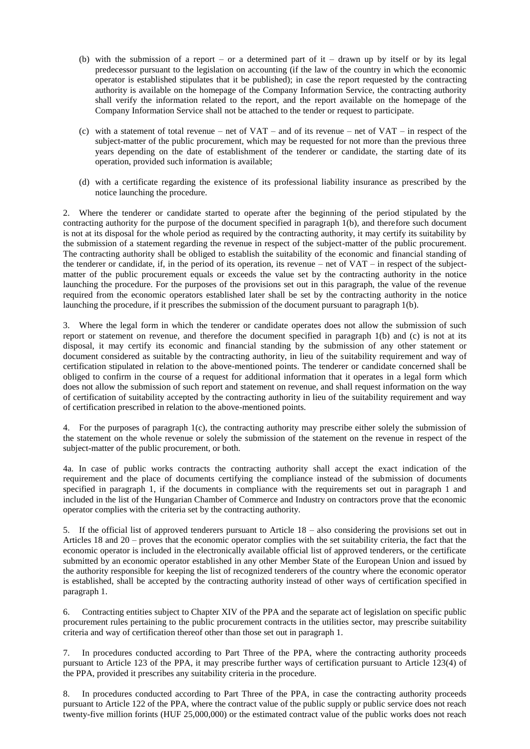- (b) with the submission of a report or a determined part of  $it$  drawn up by itself or by its legal predecessor pursuant to the legislation on accounting (if the law of the country in which the economic operator is established stipulates that it be published); in case the report requested by the contracting authority is available on the homepage of the Company Information Service, the contracting authority shall verify the information related to the report, and the report available on the homepage of the Company Information Service shall not be attached to the tender or request to participate.
- (c) with a statement of total revenue net of VAT and of its revenue net of VAT in respect of the subject-matter of the public procurement, which may be requested for not more than the previous three years depending on the date of establishment of the tenderer or candidate, the starting date of its operation, provided such information is available;
- (d) with a certificate regarding the existence of its professional liability insurance as prescribed by the notice launching the procedure.

2. Where the tenderer or candidate started to operate after the beginning of the period stipulated by the contracting authority for the purpose of the document specified in paragraph 1(b), and therefore such document is not at its disposal for the whole period as required by the contracting authority, it may certify its suitability by the submission of a statement regarding the revenue in respect of the subject-matter of the public procurement. The contracting authority shall be obliged to establish the suitability of the economic and financial standing of the tenderer or candidate, if, in the period of its operation, its revenue – net of VAT – in respect of the subjectmatter of the public procurement equals or exceeds the value set by the contracting authority in the notice launching the procedure. For the purposes of the provisions set out in this paragraph, the value of the revenue required from the economic operators established later shall be set by the contracting authority in the notice launching the procedure, if it prescribes the submission of the document pursuant to paragraph 1(b).

3. Where the legal form in which the tenderer or candidate operates does not allow the submission of such report or statement on revenue, and therefore the document specified in paragraph 1(b) and (c) is not at its disposal, it may certify its economic and financial standing by the submission of any other statement or document considered as suitable by the contracting authority, in lieu of the suitability requirement and way of certification stipulated in relation to the above-mentioned points. The tenderer or candidate concerned shall be obliged to confirm in the course of a request for additional information that it operates in a legal form which does not allow the submission of such report and statement on revenue, and shall request information on the way of certification of suitability accepted by the contracting authority in lieu of the suitability requirement and way of certification prescribed in relation to the above-mentioned points.

4. For the purposes of paragraph 1(c), the contracting authority may prescribe either solely the submission of the statement on the whole revenue or solely the submission of the statement on the revenue in respect of the subject-matter of the public procurement, or both.

4a. In case of public works contracts the contracting authority shall accept the exact indication of the requirement and the place of documents certifying the compliance instead of the submission of documents specified in paragraph 1, if the documents in compliance with the requirements set out in paragraph 1 and included in the list of the Hungarian Chamber of Commerce and Industry on contractors prove that the economic operator complies with the criteria set by the contracting authority.

5. If the official list of approved tenderers pursuant to Article 18 – also considering the provisions set out in Articles 18 and 20 – proves that the economic operator complies with the set suitability criteria, the fact that the economic operator is included in the electronically available official list of approved tenderers, or the certificate submitted by an economic operator established in any other Member State of the European Union and issued by the authority responsible for keeping the list of recognized tenderers of the country where the economic operator is established, shall be accepted by the contracting authority instead of other ways of certification specified in paragraph 1.

6. Contracting entities subject to Chapter XIV of the PPA and the separate act of legislation on specific public procurement rules pertaining to the public procurement contracts in the utilities sector, may prescribe suitability criteria and way of certification thereof other than those set out in paragraph 1.

7. In procedures conducted according to Part Three of the PPA, where the contracting authority proceeds pursuant to Article 123 of the PPA, it may prescribe further ways of certification pursuant to Article 123(4) of the PPA, provided it prescribes any suitability criteria in the procedure.

8. In procedures conducted according to Part Three of the PPA, in case the contracting authority proceeds pursuant to Article 122 of the PPA, where the contract value of the public supply or public service does not reach twenty-five million forints (HUF 25,000,000) or the estimated contract value of the public works does not reach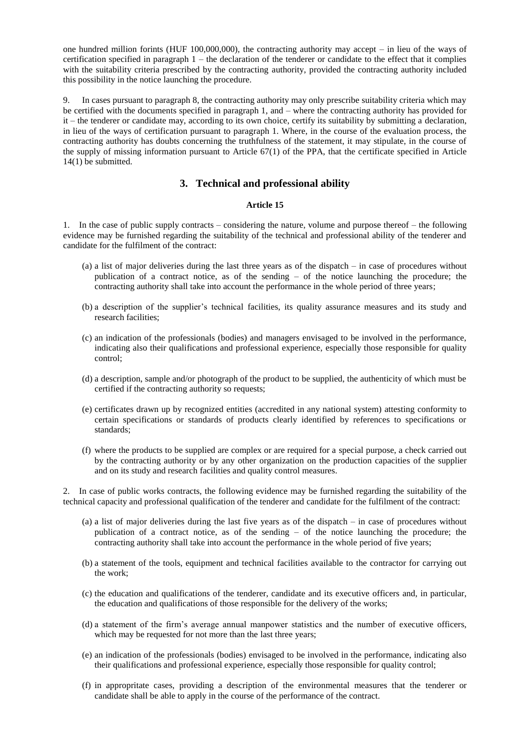one hundred million forints (HUF 100,000,000), the contracting authority may accept – in lieu of the ways of certification specified in paragraph 1 – the declaration of the tenderer or candidate to the effect that it complies with the suitability criteria prescribed by the contracting authority, provided the contracting authority included this possibility in the notice launching the procedure.

9. In cases pursuant to paragraph 8, the contracting authority may only prescribe suitability criteria which may be certified with the documents specified in paragraph 1, and – where the contracting authority has provided for it – the tenderer or candidate may, according to its own choice, certify its suitability by submitting a declaration, in lieu of the ways of certification pursuant to paragraph 1. Where, in the course of the evaluation process, the contracting authority has doubts concerning the truthfulness of the statement, it may stipulate, in the course of the supply of missing information pursuant to Article 67(1) of the PPA, that the certificate specified in Article 14(1) be submitted.

# **3. Technical and professional ability**

## **Article 15**

1. In the case of public supply contracts – considering the nature, volume and purpose thereof – the following evidence may be furnished regarding the suitability of the technical and professional ability of the tenderer and candidate for the fulfilment of the contract:

- (a) a list of major deliveries during the last three years as of the dispatch in case of procedures without publication of a contract notice, as of the sending – of the notice launching the procedure; the contracting authority shall take into account the performance in the whole period of three years;
- (b) a description of the supplier's technical facilities, its quality assurance measures and its study and research facilities;
- (c) an indication of the professionals (bodies) and managers envisaged to be involved in the performance, indicating also their qualifications and professional experience, especially those responsible for quality control;
- (d) a description, sample and/or photograph of the product to be supplied, the authenticity of which must be certified if the contracting authority so requests;
- (e) certificates drawn up by recognized entities (accredited in any national system) attesting conformity to certain specifications or standards of products clearly identified by references to specifications or standards;
- (f) where the products to be supplied are complex or are required for a special purpose, a check carried out by the contracting authority or by any other organization on the production capacities of the supplier and on its study and research facilities and quality control measures.

2. In case of public works contracts, the following evidence may be furnished regarding the suitability of the technical capacity and professional qualification of the tenderer and candidate for the fulfilment of the contract:

- (a) a list of major deliveries during the last five years as of the dispatch in case of procedures without publication of a contract notice, as of the sending – of the notice launching the procedure; the contracting authority shall take into account the performance in the whole period of five years;
- (b) a statement of the tools, equipment and technical facilities available to the contractor for carrying out the work;
- (c) the education and qualifications of the tenderer, candidate and its executive officers and, in particular, the education and qualifications of those responsible for the delivery of the works;
- (d) a statement of the firm's average annual manpower statistics and the number of executive officers, which may be requested for not more than the last three years;
- (e) an indication of the professionals (bodies) envisaged to be involved in the performance, indicating also their qualifications and professional experience, especially those responsible for quality control;
- (f) in appropritate cases, providing a description of the environmental measures that the tenderer or candidate shall be able to apply in the course of the performance of the contract.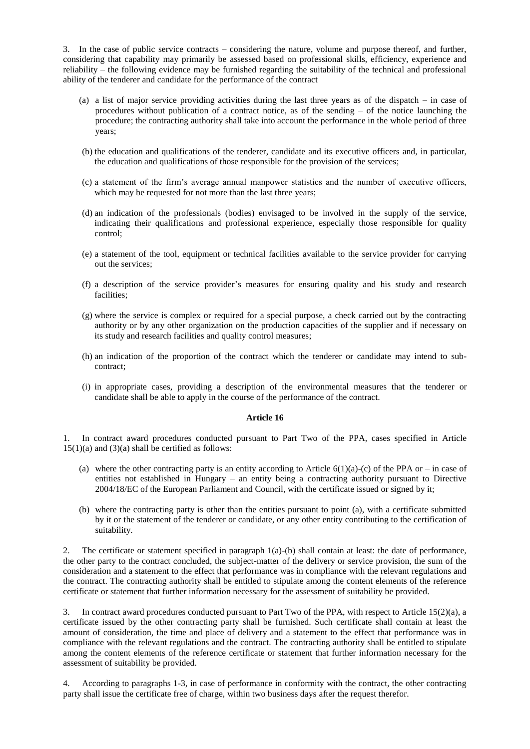3. In the case of public service contracts – considering the nature, volume and purpose thereof, and further, considering that capability may primarily be assessed based on professional skills, efficiency, experience and reliability – the following evidence may be furnished regarding the suitability of the technical and professional ability of the tenderer and candidate for the performance of the contract

- (a) a list of major service providing activities during the last three years as of the dispatch in case of procedures without publication of a contract notice, as of the sending – of the notice launching the procedure; the contracting authority shall take into account the performance in the whole period of three years;
- (b) the education and qualifications of the tenderer, candidate and its executive officers and, in particular, the education and qualifications of those responsible for the provision of the services;
- (c) a statement of the firm's average annual manpower statistics and the number of executive officers, which may be requested for not more than the last three years;
- (d) an indication of the professionals (bodies) envisaged to be involved in the supply of the service, indicating their qualifications and professional experience, especially those responsible for quality control;
- (e) a statement of the tool, equipment or technical facilities available to the service provider for carrying out the services;
- (f) a description of the service provider's measures for ensuring quality and his study and research facilities;
- (g) where the service is complex or required for a special purpose, a check carried out by the contracting authority or by any other organization on the production capacities of the supplier and if necessary on its study and research facilities and quality control measures;
- (h) an indication of the proportion of the contract which the tenderer or candidate may intend to subcontract;
- (i) in appropriate cases, providing a description of the environmental measures that the tenderer or candidate shall be able to apply in the course of the performance of the contract.

### **Article 16**

1. In contract award procedures conducted pursuant to Part Two of the PPA, cases specified in Article  $15(1)(a)$  and  $(3)(a)$  shall be certified as follows:

- (a) where the other contracting party is an entity according to Article  $6(1)(a)-(c)$  of the PPA or in case of entities not established in Hungary – an entity being a contracting authority pursuant to Directive 2004/18/EC of the European Parliament and Council, with the certificate issued or signed by it;
- (b) where the contracting party is other than the entities pursuant to point (a), with a certificate submitted by it or the statement of the tenderer or candidate, or any other entity contributing to the certification of suitability.

2. The certificate or statement specified in paragraph 1(a)-(b) shall contain at least: the date of performance, the other party to the contract concluded, the subject-matter of the delivery or service provision, the sum of the consideration and a statement to the effect that performance was in compliance with the relevant regulations and the contract. The contracting authority shall be entitled to stipulate among the content elements of the reference certificate or statement that further information necessary for the assessment of suitability be provided.

3. In contract award procedures conducted pursuant to Part Two of the PPA, with respect to Article 15(2)(a), a certificate issued by the other contracting party shall be furnished. Such certificate shall contain at least the amount of consideration, the time and place of delivery and a statement to the effect that performance was in compliance with the relevant regulations and the contract. The contracting authority shall be entitled to stipulate among the content elements of the reference certificate or statement that further information necessary for the assessment of suitability be provided.

4. According to paragraphs 1-3, in case of performance in conformity with the contract, the other contracting party shall issue the certificate free of charge, within two business days after the request therefor.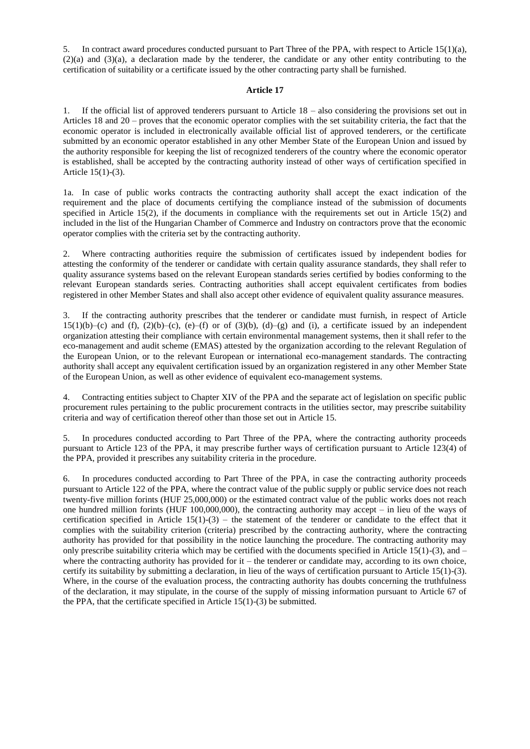5. In contract award procedures conducted pursuant to Part Three of the PPA, with respect to Article 15(1)(a), (2)(a) and (3)(a), a declaration made by the tenderer, the candidate or any other entity contributing to the certification of suitability or a certificate issued by the other contracting party shall be furnished.

### **Article 17**

1. If the official list of approved tenderers pursuant to Article 18 – also considering the provisions set out in Articles 18 and 20 – proves that the economic operator complies with the set suitability criteria, the fact that the economic operator is included in electronically available official list of approved tenderers, or the certificate submitted by an economic operator established in any other Member State of the European Union and issued by the authority responsible for keeping the list of recognized tenderers of the country where the economic operator is established, shall be accepted by the contracting authority instead of other ways of certification specified in Article 15(1)-(3).

1a. In case of public works contracts the contracting authority shall accept the exact indication of the requirement and the place of documents certifying the compliance instead of the submission of documents specified in Article 15(2), if the documents in compliance with the requirements set out in Article 15(2) and included in the list of the Hungarian Chamber of Commerce and Industry on contractors prove that the economic operator complies with the criteria set by the contracting authority.

2. Where contracting authorities require the submission of certificates issued by independent bodies for attesting the conformity of the tenderer or candidate with certain quality assurance standards, they shall refer to quality assurance systems based on the relevant European standards series certified by bodies conforming to the relevant European standards series. Contracting authorities shall accept equivalent certificates from bodies registered in other Member States and shall also accept other evidence of equivalent quality assurance measures.

3. If the contracting authority prescribes that the tenderer or candidate must furnish, in respect of Article  $15(1)(b)-(c)$  and (f),  $(2)(b)-(c)$ ,  $(e)-(f)$  or of  $(3)(b)$ ,  $(d)-(g)$  and (i), a certificate issued by an independent organization attesting their compliance with certain environmental management systems, then it shall refer to the eco-management and audit scheme (EMAS) attested by the organization according to the relevant Regulation of the European Union, or to the relevant European or international eco-management standards. The contracting authority shall accept any equivalent certification issued by an organization registered in any other Member State of the European Union, as well as other evidence of equivalent eco-management systems.

4. Contracting entities subject to Chapter XIV of the PPA and the separate act of legislation on specific public procurement rules pertaining to the public procurement contracts in the utilities sector, may prescribe suitability criteria and way of certification thereof other than those set out in Article 15.

5. In procedures conducted according to Part Three of the PPA, where the contracting authority proceeds pursuant to Article 123 of the PPA, it may prescribe further ways of certification pursuant to Article 123(4) of the PPA, provided it prescribes any suitability criteria in the procedure.

6. In procedures conducted according to Part Three of the PPA, in case the contracting authority proceeds pursuant to Article 122 of the PPA, where the contract value of the public supply or public service does not reach twenty-five million forints (HUF 25,000,000) or the estimated contract value of the public works does not reach one hundred million forints (HUF 100,000,000), the contracting authority may accept – in lieu of the ways of certification specified in Article  $15(1)-(3)$  – the statement of the tenderer or candidate to the effect that it complies with the suitability criterion (criteria) prescribed by the contracting authority, where the contracting authority has provided for that possibility in the notice launching the procedure. The contracting authority may only prescribe suitability criteria which may be certified with the documents specified in Article 15(1)-(3), and  $$ where the contracting authority has provided for it – the tenderer or candidate may, according to its own choice, certify its suitability by submitting a declaration, in lieu of the ways of certification pursuant to Article 15(1)-(3). Where, in the course of the evaluation process, the contracting authority has doubts concerning the truthfulness of the declaration, it may stipulate, in the course of the supply of missing information pursuant to Article 67 of the PPA, that the certificate specified in Article 15(1)-(3) be submitted.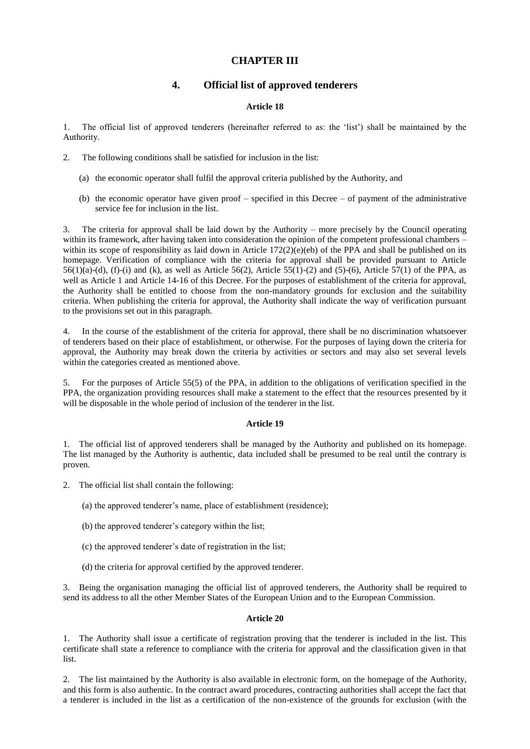# **CHAPTER III**

# **4. Official list of approved tenderers**

## **Article 18**

1. The official list of approved tenderers (hereinafter referred to as: the 'list') shall be maintained by the Authority.

- 2. The following conditions shall be satisfied for inclusion in the list:
	- (a) the economic operator shall fulfil the approval criteria published by the Authority, and
	- (b) the economic operator have given proof specified in this Decree of payment of the administrative service fee for inclusion in the list.

3. The criteria for approval shall be laid down by the Authority – more precisely by the Council operating within its framework, after having taken into consideration the opinion of the competent professional chambers – within its scope of responsibility as laid down in Article  $172(2)(e)(eb)$  of the PPA and shall be published on its homepage. Verification of compliance with the criteria for approval shall be provided pursuant to Article 56(1)(a)-(d), (f)-(i) and (k), as well as Article 56(2), Article 55(1)-(2) and (5)-(6), Article 57(1) of the PPA, as well as Article 1 and Article 14-16 of this Decree. For the purposes of establishment of the criteria for approval, the Authority shall be entitled to choose from the non-mandatory grounds for exclusion and the suitability criteria. When publishing the criteria for approval, the Authority shall indicate the way of verification pursuant to the provisions set out in this paragraph.

In the course of the establishment of the criteria for approval, there shall be no discrimination whatsoever of tenderers based on their place of establishment, or otherwise. For the purposes of laying down the criteria for approval, the Authority may break down the criteria by activities or sectors and may also set several levels within the categories created as mentioned above.

5. For the purposes of Article 55(5) of the PPA, in addition to the obligations of verification specified in the PPA, the organization providing resources shall make a statement to the effect that the resources presented by it will be disposable in the whole period of inclusion of the tenderer in the list.

## **Article 19**

1. The official list of approved tenderers shall be managed by the Authority and published on its homepage. The list managed by the Authority is authentic, data included shall be presumed to be real until the contrary is proven.

2. The official list shall contain the following:

- (a) the approved tenderer's name, place of establishment (residence);
- (b) the approved tenderer's category within the list;
- (c) the approved tenderer's date of registration in the list;
- (d) the criteria for approval certified by the approved tenderer.

3. Being the organisation managing the official list of approved tenderers, the Authority shall be required to send its address to all the other Member States of the European Union and to the European Commission.

### **Article 20**

1. The Authority shall issue a certificate of registration proving that the tenderer is included in the list. This certificate shall state a reference to compliance with the criteria for approval and the classification given in that list.

2. The list maintained by the Authority is also available in electronic form, on the homepage of the Authority, and this form is also authentic. In the contract award procedures, contracting authorities shall accept the fact that a tenderer is included in the list as a certification of the non-existence of the grounds for exclusion (with the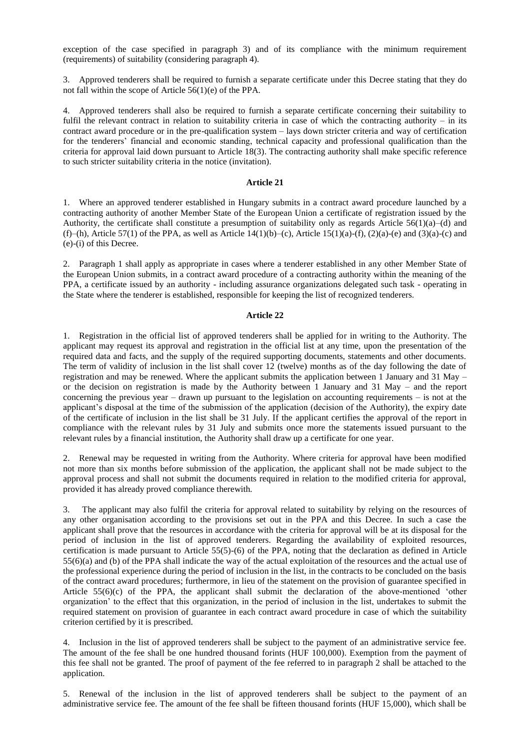exception of the case specified in paragraph 3) and of its compliance with the minimum requirement (requirements) of suitability (considering paragraph 4).

3. Approved tenderers shall be required to furnish a separate certificate under this Decree stating that they do not fall within the scope of Article 56(1)(e) of the PPA.

4. Approved tenderers shall also be required to furnish a separate certificate concerning their suitability to fulfil the relevant contract in relation to suitability criteria in case of which the contracting authority – in its contract award procedure or in the pre-qualification system – lays down stricter criteria and way of certification for the tenderers' financial and economic standing, technical capacity and professional qualification than the criteria for approval laid down pursuant to Article 18(3). The contracting authority shall make specific reference to such stricter suitability criteria in the notice (invitation).

### **Article 21**

1. Where an approved tenderer established in Hungary submits in a contract award procedure launched by a contracting authority of another Member State of the European Union a certificate of registration issued by the Authority, the certificate shall constitute a presumption of suitability only as regards Article  $56(1)(a)$ –(d) and (f)–(h), Article 57(1) of the PPA, as well as Article 14(1)(b)–(c), Article 15(1)(a)-(f), (2)(a)-(e) and (3)(a)-(c) and (e)-(i) of this Decree.

2. Paragraph 1 shall apply as appropriate in cases where a tenderer established in any other Member State of the European Union submits, in a contract award procedure of a contracting authority within the meaning of the PPA, a certificate issued by an authority - including assurance organizations delegated such task - operating in the State where the tenderer is established, responsible for keeping the list of recognized tenderers.

### **Article 22**

1. Registration in the official list of approved tenderers shall be applied for in writing to the Authority. The applicant may request its approval and registration in the official list at any time, upon the presentation of the required data and facts, and the supply of the required supporting documents, statements and other documents. The term of validity of inclusion in the list shall cover 12 (twelve) months as of the day following the date of registration and may be renewed. Where the applicant submits the application between 1 January and 31 May – or the decision on registration is made by the Authority between 1 January and 31 May – and the report concerning the previous year – drawn up pursuant to the legislation on accounting requirements – is not at the applicant's disposal at the time of the submission of the application (decision of the Authority), the expiry date of the certificate of inclusion in the list shall be 31 July. If the applicant certifies the approval of the report in compliance with the relevant rules by 31 July and submits once more the statements issued pursuant to the relevant rules by a financial institution, the Authority shall draw up a certificate for one year.

2. Renewal may be requested in writing from the Authority. Where criteria for approval have been modified not more than six months before submission of the application, the applicant shall not be made subject to the approval process and shall not submit the documents required in relation to the modified criteria for approval, provided it has already proved compliance therewith.

3. The applicant may also fulfil the criteria for approval related to suitability by relying on the resources of any other organisation according to the provisions set out in the PPA and this Decree. In such a case the applicant shall prove that the resources in accordance with the criteria for approval will be at its disposal for the period of inclusion in the list of approved tenderers. Regarding the availability of exploited resources, certification is made pursuant to Article 55(5)-(6) of the PPA, noting that the declaration as defined in Article 55(6)(a) and (b) of the PPA shall indicate the way of the actual exploitation of the resources and the actual use of the professional experience during the period of inclusion in the list, in the contracts to be concluded on the basis of the contract award procedures; furthermore, in lieu of the statement on the provision of guarantee specified in Article 55(6)(c) of the PPA, the applicant shall submit the declaration of the above-mentioned 'other organization' to the effect that this organization, in the period of inclusion in the list, undertakes to submit the required statement on provision of guarantee in each contract award procedure in case of which the suitability criterion certified by it is prescribed.

4. Inclusion in the list of approved tenderers shall be subject to the payment of an administrative service fee. The amount of the fee shall be one hundred thousand forints (HUF 100,000). Exemption from the payment of this fee shall not be granted. The proof of payment of the fee referred to in paragraph 2 shall be attached to the application.

5. Renewal of the inclusion in the list of approved tenderers shall be subject to the payment of an administrative service fee. The amount of the fee shall be fifteen thousand forints (HUF 15,000), which shall be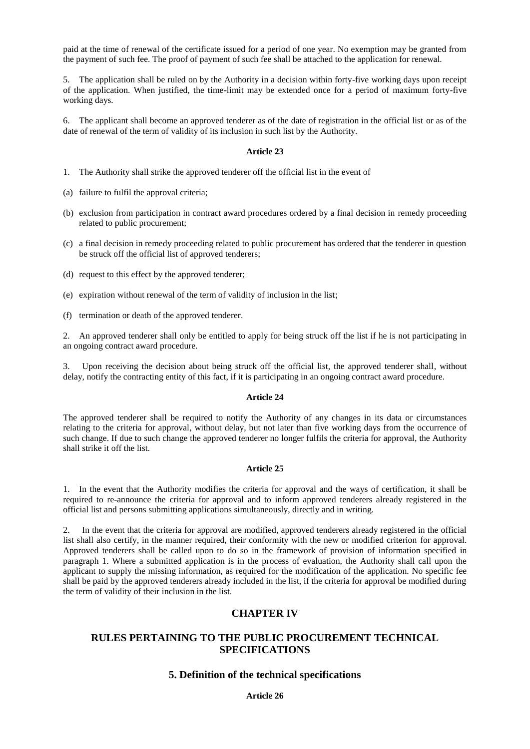paid at the time of renewal of the certificate issued for a period of one year. No exemption may be granted from the payment of such fee. The proof of payment of such fee shall be attached to the application for renewal.

5. The application shall be ruled on by the Authority in a decision within forty-five working days upon receipt of the application. When justified, the time-limit may be extended once for a period of maximum forty-five working days.

6. The applicant shall become an approved tenderer as of the date of registration in the official list or as of the date of renewal of the term of validity of its inclusion in such list by the Authority.

### **Article 23**

- 1. The Authority shall strike the approved tenderer off the official list in the event of
- (a) failure to fulfil the approval criteria;
- (b) exclusion from participation in contract award procedures ordered by a final decision in remedy proceeding related to public procurement;
- (c) a final decision in remedy proceeding related to public procurement has ordered that the tenderer in question be struck off the official list of approved tenderers;
- (d) request to this effect by the approved tenderer;
- (e) expiration without renewal of the term of validity of inclusion in the list;
- (f) termination or death of the approved tenderer.

2. An approved tenderer shall only be entitled to apply for being struck off the list if he is not participating in an ongoing contract award procedure.

3. Upon receiving the decision about being struck off the official list, the approved tenderer shall, without delay, notify the contracting entity of this fact, if it is participating in an ongoing contract award procedure.

### **Article 24**

The approved tenderer shall be required to notify the Authority of any changes in its data or circumstances relating to the criteria for approval, without delay, but not later than five working days from the occurrence of such change. If due to such change the approved tenderer no longer fulfils the criteria for approval, the Authority shall strike it off the list.

### **Article 25**

1. In the event that the Authority modifies the criteria for approval and the ways of certification, it shall be required to re-announce the criteria for approval and to inform approved tenderers already registered in the official list and persons submitting applications simultaneously, directly and in writing.

2. In the event that the criteria for approval are modified, approved tenderers already registered in the official list shall also certify, in the manner required, their conformity with the new or modified criterion for approval. Approved tenderers shall be called upon to do so in the framework of provision of information specified in paragraph 1. Where a submitted application is in the process of evaluation, the Authority shall call upon the applicant to supply the missing information, as required for the modification of the application. No specific fee shall be paid by the approved tenderers already included in the list, if the criteria for approval be modified during the term of validity of their inclusion in the list.

## **CHAPTER IV**

# **RULES PERTAINING TO THE PUBLIC PROCUREMENT TECHNICAL SPECIFICATIONS**

## **5. Definition of the technical specifications**

## **Article 26**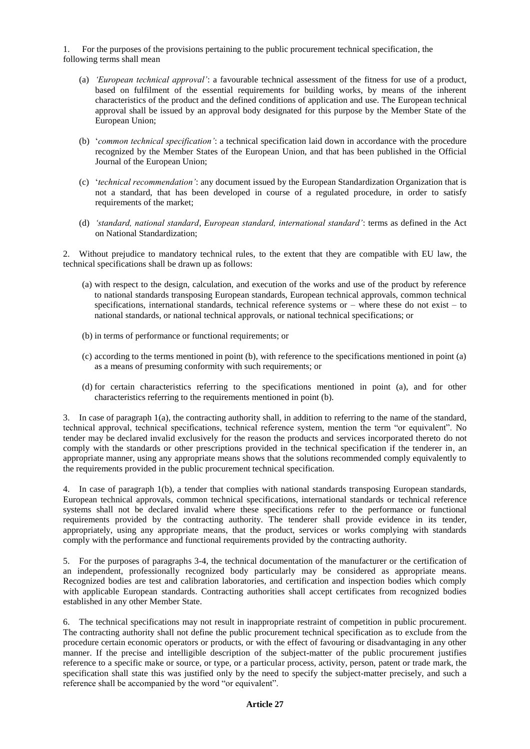1. For the purposes of the provisions pertaining to the public procurement technical specification, the following terms shall mean

- (a) *'European technical approval'*: a favourable technical assessment of the fitness for use of a product, based on fulfilment of the essential requirements for building works, by means of the inherent characteristics of the product and the defined conditions of application and use. The European technical approval shall be issued by an approval body designated for this purpose by the Member State of the European Union;
- (b) '*common technical specification'*: a technical specification laid down in accordance with the procedure recognized by the Member States of the European Union, and that has been published in the Official Journal of the European Union;
- (c) '*technical recommendation'*: any document issued by the European Standardization Organization that is not a standard, that has been developed in course of a regulated procedure, in order to satisfy requirements of the market;
- (d) *'standard, national standard, European standard, international standard'*: terms as defined in the Act on National Standardization;

2. Without prejudice to mandatory technical rules, to the extent that they are compatible with EU law, the technical specifications shall be drawn up as follows:

- (a) with respect to the design, calculation, and execution of the works and use of the product by reference to national standards transposing European standards, European technical approvals, common technical specifications, international standards, technical reference systems or – where these do not exist – to national standards, or national technical approvals, or national technical specifications; or
- (b) in terms of performance or functional requirements; or
- (c) according to the terms mentioned in point (b), with reference to the specifications mentioned in point (a) as a means of presuming conformity with such requirements; or
- (d) for certain characteristics referring to the specifications mentioned in point (a), and for other characteristics referring to the requirements mentioned in point (b).

3. In case of paragraph 1(a), the contracting authority shall, in addition to referring to the name of the standard, technical approval, technical specifications, technical reference system, mention the term "or equivalent". No tender may be declared invalid exclusively for the reason the products and services incorporated thereto do not comply with the standards or other prescriptions provided in the technical specification if the tenderer in, an appropriate manner, using any appropriate means shows that the solutions recommended comply equivalently to the requirements provided in the public procurement technical specification.

4. In case of paragraph 1(b), a tender that complies with national standards transposing European standards, European technical approvals, common technical specifications, international standards or technical reference systems shall not be declared invalid where these specifications refer to the performance or functional requirements provided by the contracting authority. The tenderer shall provide evidence in its tender, appropriately, using any appropriate means, that the product, services or works complying with standards comply with the performance and functional requirements provided by the contracting authority.

5. For the purposes of paragraphs 3-4, the technical documentation of the manufacturer or the certification of an independent, professionally recognized body particularly may be considered as appropriate means. Recognized bodies are test and calibration laboratories, and certification and inspection bodies which comply with applicable European standards. Contracting authorities shall accept certificates from recognized bodies established in any other Member State.

6. The technical specifications may not result in inappropriate restraint of competition in public procurement. The contracting authority shall not define the public procurement technical specification as to exclude from the procedure certain economic operators or products, or with the effect of favouring or disadvantaging in any other manner. If the precise and intelligible description of the subject-matter of the public procurement justifies reference to a specific make or source, or type, or a particular process, activity, person, patent or trade mark, the specification shall state this was justified only by the need to specify the subject-matter precisely, and such a reference shall be accompanied by the word "or equivalent".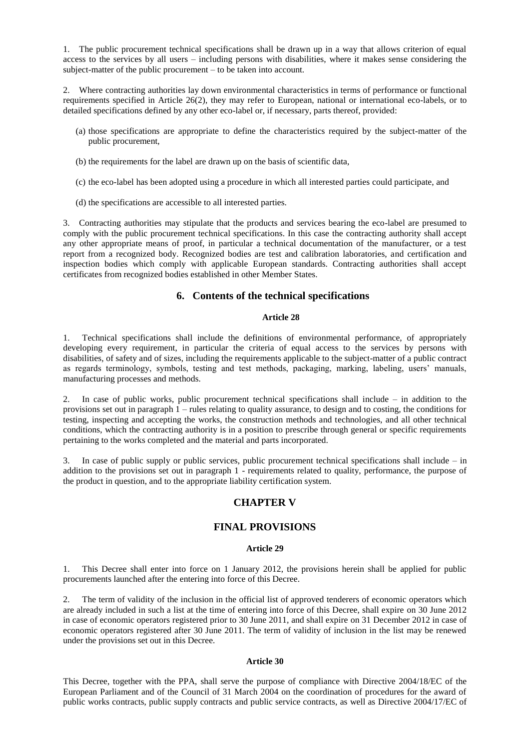1. The public procurement technical specifications shall be drawn up in a way that allows criterion of equal access to the services by all users – including persons with disabilities, where it makes sense considering the subject-matter of the public procurement – to be taken into account.

2. Where contracting authorities lay down environmental characteristics in terms of performance or functional requirements specified in Article 26(2), they may refer to European, national or international eco-labels, or to detailed specifications defined by any other eco-label or, if necessary, parts thereof, provided:

- (a) those specifications are appropriate to define the characteristics required by the subject-matter of the public procurement,
- (b) the requirements for the label are drawn up on the basis of scientific data,
- (c) the eco-label has been adopted using a procedure in which all interested parties could participate, and
- (d) the specifications are accessible to all interested parties.

3. Contracting authorities may stipulate that the products and services bearing the eco-label are presumed to comply with the public procurement technical specifications. In this case the contracting authority shall accept any other appropriate means of proof, in particular a technical documentation of the manufacturer, or a test report from a recognized body. Recognized bodies are test and calibration laboratories, and certification and inspection bodies which comply with applicable European standards. Contracting authorities shall accept certificates from recognized bodies established in other Member States.

## **6. Contents of the technical specifications**

### **Article 28**

1. Technical specifications shall include the definitions of environmental performance, of appropriately developing every requirement, in particular the criteria of equal access to the services by persons with disabilities, of safety and of sizes, including the requirements applicable to the subject-matter of a public contract as regards terminology, symbols, testing and test methods, packaging, marking, labeling, users' manuals, manufacturing processes and methods.

In case of public works, public procurement technical specifications shall include  $-$  in addition to the provisions set out in paragraph  $1$  – rules relating to quality assurance, to design and to costing, the conditions for testing, inspecting and accepting the works, the construction methods and technologies, and all other technical conditions, which the contracting authority is in a position to prescribe through general or specific requirements pertaining to the works completed and the material and parts incorporated.

3. In case of public supply or public services, public procurement technical specifications shall include – in addition to the provisions set out in paragraph 1 - requirements related to quality, performance, the purpose of the product in question, and to the appropriate liability certification system.

# **CHAPTER V**

## **FINAL PROVISIONS**

### **Article 29**

1. This Decree shall enter into force on 1 January 2012, the provisions herein shall be applied for public procurements launched after the entering into force of this Decree.

2. The term of validity of the inclusion in the official list of approved tenderers of economic operators which are already included in such a list at the time of entering into force of this Decree, shall expire on 30 June 2012 in case of economic operators registered prior to 30 June 2011, and shall expire on 31 December 2012 in case of economic operators registered after 30 June 2011. The term of validity of inclusion in the list may be renewed under the provisions set out in this Decree.

#### **Article 30**

This Decree, together with the PPA, shall serve the purpose of compliance with Directive 2004/18/EC of the European Parliament and of the Council of 31 March 2004 on the coordination of procedures for the award of public works contracts, public supply contracts and public service contracts, as well as Directive 2004/17/EC of